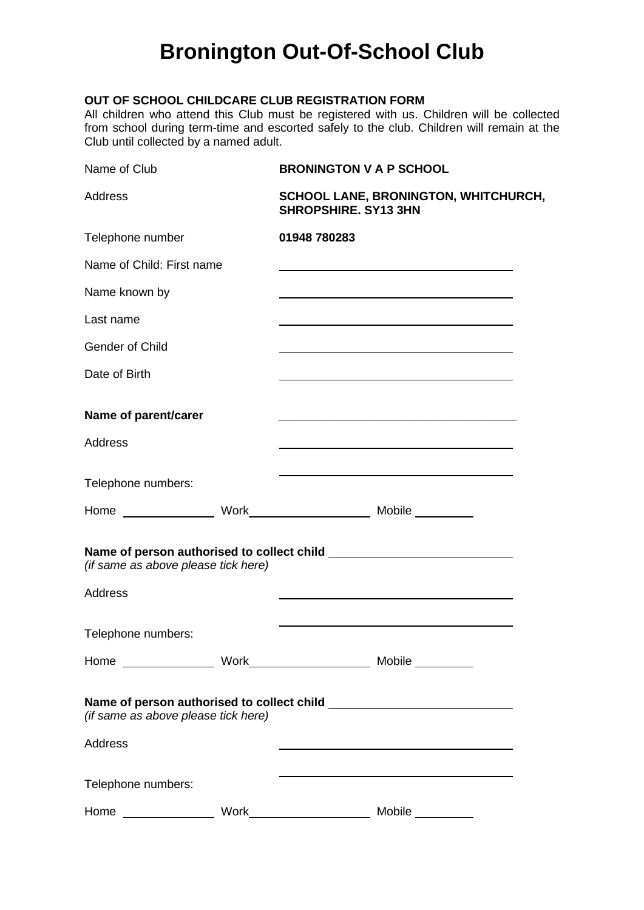## **Bronington Out-Of-School Club**

#### **OUT OF SCHOOL CHILDCARE CLUB REGISTRATION FORM**

All children who attend this Club must be registered with us. Children will be collected from school during term-time and escorted safely to the club. Children will remain at the Club until collected by a named adult.

| Name of Club                        | <b>BRONINGTON V A P SCHOOL</b>                                                                                        |
|-------------------------------------|-----------------------------------------------------------------------------------------------------------------------|
| Address                             | <b>SCHOOL LANE, BRONINGTON, WHITCHURCH,</b><br><b>SHROPSHIRE. SY13 3HN</b>                                            |
| Telephone number                    | 01948 780283                                                                                                          |
| Name of Child: First name           |                                                                                                                       |
| Name known by                       |                                                                                                                       |
| Last name                           |                                                                                                                       |
| <b>Gender of Child</b>              |                                                                                                                       |
| Date of Birth                       |                                                                                                                       |
| Name of parent/carer                | <u> 1989 - Johann Stoff, deutscher Stoff, der Stoff, der Stoff, der Stoff, der Stoff, der Stoff, der Stoff, der S</u> |
| Address                             |                                                                                                                       |
| Telephone numbers:                  |                                                                                                                       |
|                                     |                                                                                                                       |
| (if same as above please tick here) |                                                                                                                       |
| <b>Address</b>                      |                                                                                                                       |
| Telephone numbers:                  |                                                                                                                       |
|                                     |                                                                                                                       |
| (if same as above please tick here) |                                                                                                                       |
| <b>Address</b>                      |                                                                                                                       |
| Telephone numbers:                  |                                                                                                                       |
| Home                                | $Work \underline{\hspace{2cm}} \underline{\hspace{2cm}}$<br>Mobile __________                                         |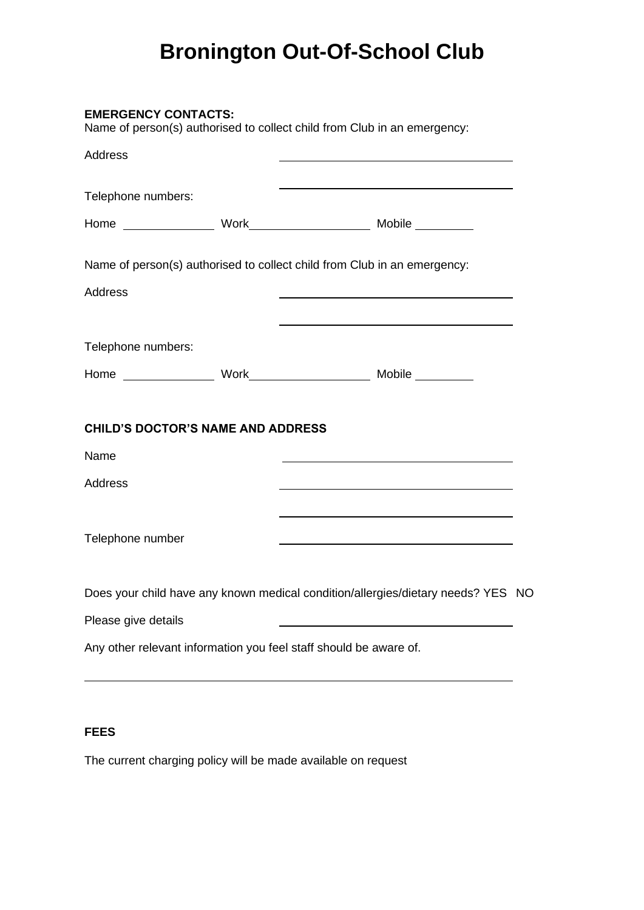# **Bronington Out-Of-School Club**

| <b>EMERGENCY CONTACTS:</b>               | Name of person(s) authorised to collect child from Club in an emergency:                                             |  |
|------------------------------------------|----------------------------------------------------------------------------------------------------------------------|--|
| Address                                  |                                                                                                                      |  |
| Telephone numbers:                       |                                                                                                                      |  |
|                                          |                                                                                                                      |  |
|                                          | Name of person(s) authorised to collect child from Club in an emergency:                                             |  |
| Address                                  | <u> 1989 - Johann Barn, fransk politik amerikansk politik (</u>                                                      |  |
|                                          |                                                                                                                      |  |
| Telephone numbers:                       |                                                                                                                      |  |
|                                          |                                                                                                                      |  |
| <b>CHILD'S DOCTOR'S NAME AND ADDRESS</b> |                                                                                                                      |  |
| Name                                     |                                                                                                                      |  |
| Address                                  |                                                                                                                      |  |
|                                          | <u> 1989 - Johann Stein, marwolaethau a bhann an t-Amhair an t-Amhair an t-Amhair an t-Amhair an t-Amhair an t-A</u> |  |
| Telephone number                         |                                                                                                                      |  |
|                                          | Does your child have any known medical condition/allergies/dietary needs? YES NO                                     |  |
| Please give details                      |                                                                                                                      |  |
|                                          | Any other relevant information you feel staff should be aware of.                                                    |  |
|                                          |                                                                                                                      |  |

### **FEES**

The current charging policy will be made available on request